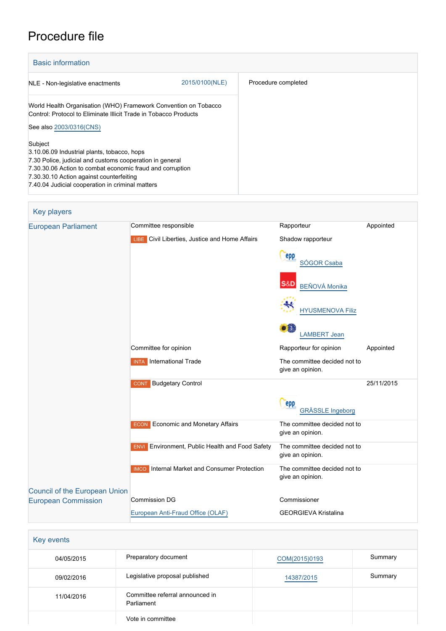# Procedure file

| <b>Basic information</b>                                                                                                                                                                                                                                                        |                |                     |
|---------------------------------------------------------------------------------------------------------------------------------------------------------------------------------------------------------------------------------------------------------------------------------|----------------|---------------------|
| NLE - Non-legislative enactments                                                                                                                                                                                                                                                | 2015/0100(NLE) | Procedure completed |
| World Health Organisation (WHO) Framework Convention on Tobacco<br>Control: Protocol to Eliminate Illicit Trade in Tobacco Products                                                                                                                                             |                |                     |
| See also 2003/0316(CNS)                                                                                                                                                                                                                                                         |                |                     |
| Subject<br>3.10.06.09 Industrial plants, tobacco, hops<br>7.30 Police, judicial and customs cooperation in general<br>7.30.30.06 Action to combat economic fraud and corruption<br>7.30.30.10 Action against counterfeiting<br>7.40.04 Judicial cooperation in criminal matters |                |                     |

| Key players                          |                                                                                                               |                                                  |            |
|--------------------------------------|---------------------------------------------------------------------------------------------------------------|--------------------------------------------------|------------|
| <b>European Parliament</b>           | Committee responsible                                                                                         | Rapporteur                                       | Appointed  |
|                                      | LIBE Civil Liberties, Justice and Home Affairs                                                                | Shadow rapporteur                                |            |
|                                      |                                                                                                               | epp<br>SÓGOR Csaba                               |            |
|                                      |                                                                                                               | <b>S&amp;D</b><br><b>BEŇOVÁ Monika</b>           |            |
|                                      |                                                                                                               | <b>HYUSMENOVA Filiz</b>                          |            |
|                                      |                                                                                                               | <b>LAMBERT Jean</b>                              |            |
|                                      | Committee for opinion                                                                                         | Rapporteur for opinion                           | Appointed  |
|                                      | <b>INTA</b> International Trade                                                                               | The committee decided not to<br>give an opinion. |            |
|                                      | <b>Budgetary Control</b><br><b>CONT</b>                                                                       |                                                  | 25/11/2015 |
|                                      |                                                                                                               | epp<br><b>GRÄSSLE Ingeborg</b>                   |            |
|                                      | Economic and Monetary Affairs<br><b>ECON</b>                                                                  | The committee decided not to<br>give an opinion. |            |
|                                      | Environment, Public Health and Food Safety<br>The committee decided not to<br><b>ENVI</b><br>give an opinion. |                                                  |            |
|                                      | <b>IMCO</b> Internal Market and Consumer Protection                                                           | The committee decided not to<br>give an opinion. |            |
| <b>Council of the European Union</b> |                                                                                                               |                                                  |            |
| <b>European Commission</b>           | <b>Commission DG</b>                                                                                          | Commissioner                                     |            |
|                                      | European Anti-Fraud Office (OLAF)                                                                             | <b>GEORGIEVA Kristalina</b>                      |            |
|                                      |                                                                                                               |                                                  |            |

| Key events |                                               |               |         |
|------------|-----------------------------------------------|---------------|---------|
| 04/05/2015 | Preparatory document                          | COM(2015)0193 | Summary |
| 09/02/2016 | Legislative proposal published                | 14387/2015    | Summary |
| 11/04/2016 | Committee referral announced in<br>Parliament |               |         |
|            | Vote in committee                             |               |         |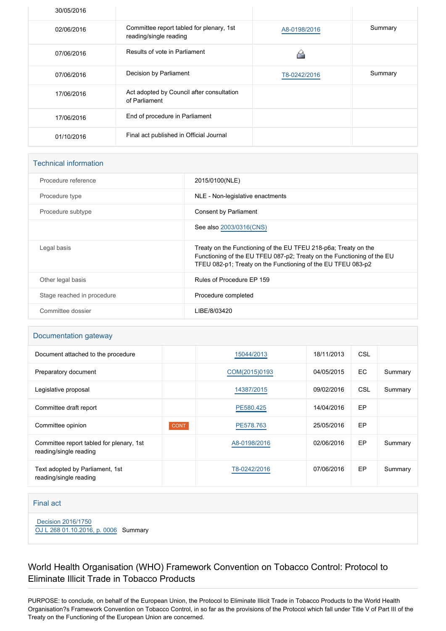| 30/05/2016 |                                                                    |              |         |
|------------|--------------------------------------------------------------------|--------------|---------|
| 02/06/2016 | Committee report tabled for plenary, 1st<br>reading/single reading | A8-0198/2016 | Summary |
| 07/06/2016 | Results of vote in Parliament                                      |              |         |
| 07/06/2016 | Decision by Parliament                                             | T8-0242/2016 | Summary |
| 17/06/2016 | Act adopted by Council after consultation<br>of Parliament         |              |         |
| 17/06/2016 | End of procedure in Parliament                                     |              |         |
| 01/10/2016 | Final act published in Official Journal                            |              |         |

#### Technical information

| Procedure reference        | 2015/0100(NLE)                                                                                                                                                                                            |
|----------------------------|-----------------------------------------------------------------------------------------------------------------------------------------------------------------------------------------------------------|
| Procedure type             | NLE - Non-legislative enactments                                                                                                                                                                          |
| Procedure subtype          | Consent by Parliament                                                                                                                                                                                     |
|                            | See also 2003/0316(CNS)                                                                                                                                                                                   |
| Legal basis                | Treaty on the Functioning of the EU TFEU 218-p6a; Treaty on the<br>Functioning of the EU TFEU 087-p2; Treaty on the Functioning of the EU<br>TFEU 082-p1; Treaty on the Functioning of the EU TFEU 083-p2 |
| Other legal basis          | Rules of Procedure EP 159                                                                                                                                                                                 |
| Stage reached in procedure | Procedure completed                                                                                                                                                                                       |
| Committee dossier          | LIBE/8/03420                                                                                                                                                                                              |
|                            |                                                                                                                                                                                                           |

#### Documentation gateway

| Document attached to the procedure                                 |             | 15044/2013    | 18/11/2013 | CSL        |         |
|--------------------------------------------------------------------|-------------|---------------|------------|------------|---------|
| Preparatory document                                               |             | COM(2015)0193 | 04/05/2015 | EC         | Summary |
| Legislative proposal                                               |             | 14387/2015    | 09/02/2016 | <b>CSL</b> | Summary |
| Committee draft report                                             |             | PE580.425     | 14/04/2016 | <b>EP</b>  |         |
| Committee opinion                                                  | <b>CONT</b> | PE578.763     | 25/05/2016 | <b>EP</b>  |         |
| Committee report tabled for plenary, 1st<br>reading/single reading |             | A8-0198/2016  | 02/06/2016 | <b>EP</b>  | Summary |
| Text adopted by Parliament, 1st<br>reading/single reading          |             | T8-0242/2016  | 07/06/2016 | EP         | Summary |

#### Final act

 [Decision 2016/1750](https://eur-lex.europa.eu/smartapi/cgi/sga_doc?smartapi!celexplus!prod!CELEXnumdoc&lg=EN&numdoc=32016D1750)

[OJ L 268 01.10.2016, p. 0006](https://eur-lex.europa.eu/legal-content/EN/TXT/?uri=OJ:L:2016:268:TOC) Summary

### World Health Organisation (WHO) Framework Convention on Tobacco Control: Protocol to Eliminate Illicit Trade in Tobacco Products

PURPOSE: to conclude, on behalf of the European Union, the Protocol to Eliminate Illicit Trade in Tobacco Products to the World Health Organisation?s Framework Convention on Tobacco Control, in so far as the provisions of the Protocol which fall under Title V of Part III of the Treaty on the Functioning of the European Union are concerned.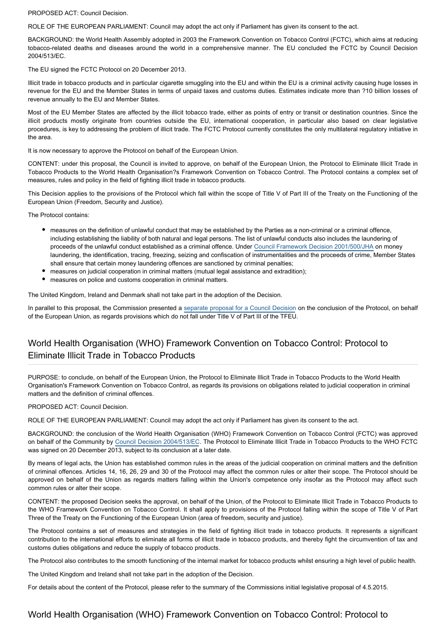PROPOSED ACT: Council Decision.

ROLE OF THE EUROPEAN PARLIAMENT: Council may adopt the act only if Parliament has given its consent to the act.

BACKGROUND: the World Health Assembly adopted in 2003 the Framework Convention on Tobacco Control (FCTC), which aims at reducing tobacco-related deaths and diseases around the world in a comprehensive manner. The EU concluded the FCTC by Council Decision 2004/513/EC.

The EU signed the FCTC Protocol on 20 December 2013.

Illicit trade in tobacco products and in particular cigarette smuggling into the EU and within the EU is a criminal activity causing huge losses in revenue for the EU and the Member States in terms of unpaid taxes and customs duties. Estimates indicate more than ?10 billion losses of revenue annually to the EU and Member States.

Most of the EU Member States are affected by the illicit tobacco trade, either as points of entry or transit or destination countries. Since the illicit products mostly originate from countries outside the EU, international cooperation, in particular also based on clear legislative procedures, is key to addressing the problem of illicit trade. The FCTC Protocol currently constitutes the only multilateral regulatory initiative in the area.

It is now necessary to approve the Protocol on behalf of the European Union.

CONTENT: under this proposal, the Council is invited to approve, on behalf of the European Union, the Protocol to Eliminate Illicit Trade in Tobacco Products to the World Health Organisation?s Framework Convention on Tobacco Control. The Protocol contains a complex set of measures, rules and policy in the field of fighting illicit trade in tobacco products.

This Decision applies to the provisions of the Protocol which fall within the scope of Title V of Part III of the Treaty on the Functioning of the European Union (Freedom, Security and Justice).

The Protocol contains:

- measures on the definition of unlawful conduct that may be established by the Parties as a non-criminal or a criminal offence, including establishing the liability of both natural and legal persons. The list of unlawful conducts also includes the laundering of proceeds of the unlawful conduct established as a criminal offence. Under [Council Framework Decision 2001/500/JHA](http://www.europarl.europa.eu/oeil/popups/ficheprocedure.do?lang=en&reference=2000/0814(CNS)) on money laundering, the identification, tracing, freezing, seizing and confiscation of instrumentalities and the proceeds of crime, Member States shall ensure that certain money laundering offences are sanctioned by criminal penalties;
- measures on judicial cooperation in criminal matters (mutual legal assistance and extradition);
- $\bullet$ measures on police and customs cooperation in criminal matters.

The United Kingdom, Ireland and Denmark shall not take part in the adoption of the Decision.

In parallel to this proposal, the Commission presented a [separate proposal for a Council Decision](http://www.europarl.europa.eu/oeil/popups/ficheprocedure.do?reference=2015/0100(NLE)&l=en) on the conclusion of the Protocol, on behalf of the European Union, as regards provisions which do not fall under Title V of Part III of the TFEU.

#### World Health Organisation (WHO) Framework Convention on Tobacco Control: Protocol to Eliminate Illicit Trade in Tobacco Products

PURPOSE: to conclude, on behalf of the European Union, the Protocol to Eliminate Illicit Trade in Tobacco Products to the World Health Organisation's Framework Convention on Tobacco Control, as regards its provisions on obligations related to judicial cooperation in criminal matters and the definition of criminal offences.

PROPOSED ACT: Council Decision.

ROLE OF THE EUROPEAN PARLIAMENT: Council may adopt the act only if Parliament has given its consent to the act.

BACKGROUND: the conclusion of the World Health Organisation (WHO) Framework Convention on Tobacco Control (FCTC) was approved on behalf of the Community by [Council Decision 2004/513/EC](http://www.europarl.europa.eu/oeil/popups/ficheprocedure.do?reference=2003/0316(CNS)&l=en). The Protocol to Eliminate Illicit Trade in Tobacco Products to the WHO FCTC was signed on 20 December 2013, subject to its conclusion at a later date.

By means of legal acts, the Union has established common rules in the areas of the judicial cooperation on criminal matters and the definition of criminal offences. Articles 14, 16, 26, 29 and 30 of the Protocol may affect the common rules or alter their scope. The Protocol should be approved on behalf of the Union as regards matters falling within the Union's competence only insofar as the Protocol may affect such common rules or alter their scope.

CONTENT: the proposed Decision seeks the approval, on behalf of the Union, of the Protocol to Eliminate Illicit Trade in Tobacco Products to the WHO Framework Convention on Tobacco Control. It shall apply to provisions of the Protocol falling within the scope of Title V of Part Three of the Treaty on the Functioning of the European Union (area of freedom, security and justice).

The Protocol contains a set of measures and strategies in the field of fighting illicit trade in tobacco products. It represents a significant contribution to the international efforts to eliminate all forms of illicit trade in tobacco products, and thereby fight the circumvention of tax and customs duties obligations and reduce the supply of tobacco products.

The Protocol also contributes to the smooth functioning of the internal market for tobacco products whilst ensuring a high level of public health.

The United Kingdom and Ireland shall not take part in the adoption of the Decision.

For details about the content of the Protocol, please refer to the summary of the Commissions initial legislative proposal of 4.5.2015.

#### World Health Organisation (WHO) Framework Convention on Tobacco Control: Protocol to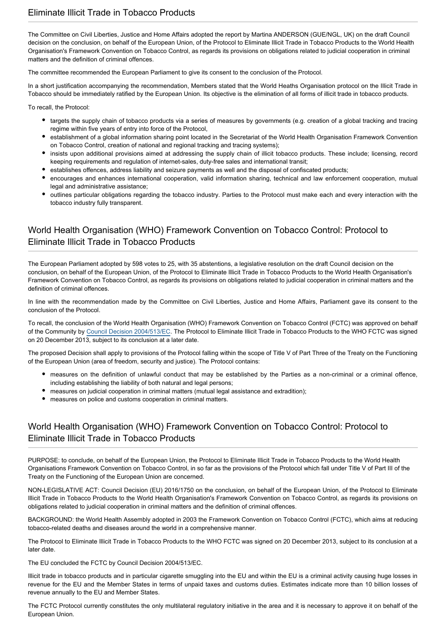The Committee on Civil Liberties, Justice and Home Affairs adopted the report by Martina ANDERSON (GUE/NGL, UK) on the draft Council decision on the conclusion, on behalf of the European Union, of the Protocol to Eliminate Illicit Trade in Tobacco Products to the World Health Organisation's Framework Convention on Tobacco Control, as regards its provisions on obligations related to judicial cooperation in criminal matters and the definition of criminal offences.

The committee recommended the European Parliament to give its consent to the conclusion of the Protocol.

In a short justification accompanying the recommendation, Members stated that the World Heaths Organisation protocol on the Illicit Trade in Tobacco should be immediately ratified by the European Union. Its objective is the elimination of all forms of illicit trade in tobacco products.

To recall, the Protocol:

- targets the supply chain of tobacco products via a series of measures by governments (e.g. creation of a global tracking and tracing regime within five years of entry into force of the Protocol,
- establishment of a global information sharing point located in the Secretariat of the World Health Organisation Framework Convention on Tobacco Control, creation of national and regional tracking and tracing systems);
- insists upon additional provisions aimed at addressing the supply chain of illicit tobacco products. These include; licensing, record keeping requirements and regulation of internet-sales, duty-free sales and international transit;
- establishes offences, address liability and seizure payments as well and the disposal of confiscated products;
- encourages and enhances international cooperation, valid information sharing, technical and law enforcement cooperation, mutual legal and administrative assistance;
- outlines particular obligations regarding the tobacco industry. Parties to the Protocol must make each and every interaction with the tobacco industry fully transparent.

### World Health Organisation (WHO) Framework Convention on Tobacco Control: Protocol to Eliminate Illicit Trade in Tobacco Products

The European Parliament adopted by 598 votes to 25, with 35 abstentions, a legislative resolution on the draft Council decision on the conclusion, on behalf of the European Union, of the Protocol to Eliminate Illicit Trade in Tobacco Products to the World Health Organisation's Framework Convention on Tobacco Control, as regards its provisions on obligations related to judicial cooperation in criminal matters and the definition of criminal offences.

In line with the recommendation made by the Committee on Civil Liberties, Justice and Home Affairs, Parliament gave its consent to the conclusion of the Protocol.

To recall, the conclusion of the World Health Organisation (WHO) Framework Convention on Tobacco Control (FCTC) was approved on behalf of the Community by [Council Decision 2004/513/EC](http://www.europarl.europa.eu/oeil/popups/ficheprocedure.do?reference=2003/0316(CNS)&l=en). The Protocol to Eliminate Illicit Trade in Tobacco Products to the WHO FCTC was signed on 20 December 2013, subject to its conclusion at a later date.

The proposed Decision shall apply to provisions of the Protocol falling within the scope of Title V of Part Three of the Treaty on the Functioning of the European Union (area of freedom, security and justice). The Protocol contains:

- measures on the definition of unlawful conduct that may be established by the Parties as a non-criminal or a criminal offence, including establishing the liability of both natural and legal persons:
- measures on judicial cooperation in criminal matters (mutual legal assistance and extradition);
- measures on police and customs cooperation in criminal matters.

## World Health Organisation (WHO) Framework Convention on Tobacco Control: Protocol to Eliminate Illicit Trade in Tobacco Products

PURPOSE: to conclude, on behalf of the European Union, the Protocol to Eliminate Illicit Trade in Tobacco Products to the World Health Organisations Framework Convention on Tobacco Control, in so far as the provisions of the Protocol which fall under Title V of Part III of the Treaty on the Functioning of the European Union are concerned.

NON-LEGISLATIVE ACT: Council Decision (EU) 2016/1750 on the conclusion, on behalf of the European Union, of the Protocol to Eliminate Illicit Trade in Tobacco Products to the World Health Organisation's Framework Convention on Tobacco Control, as regards its provisions on obligations related to judicial cooperation in criminal matters and the definition of criminal offences.

BACKGROUND: the World Health Assembly adopted in 2003 the Framework Convention on Tobacco Control (FCTC), which aims at reducing tobacco-related deaths and diseases around the world in a comprehensive manner.

The Protocol to Eliminate Illicit Trade in Tobacco Products to the WHO FCTC was signed on 20 December 2013, subject to its conclusion at a later date.

The EU concluded the FCTC by Council Decision 2004/513/EC.

Illicit trade in tobacco products and in particular cigarette smuggling into the EU and within the EU is a criminal activity causing huge losses in revenue for the EU and the Member States in terms of unpaid taxes and customs duties. Estimates indicate more than 10 billion losses of revenue annually to the EU and Member States.

The FCTC Protocol currently constitutes the only multilateral regulatory initiative in the area and it is necessary to approve it on behalf of the European Union.